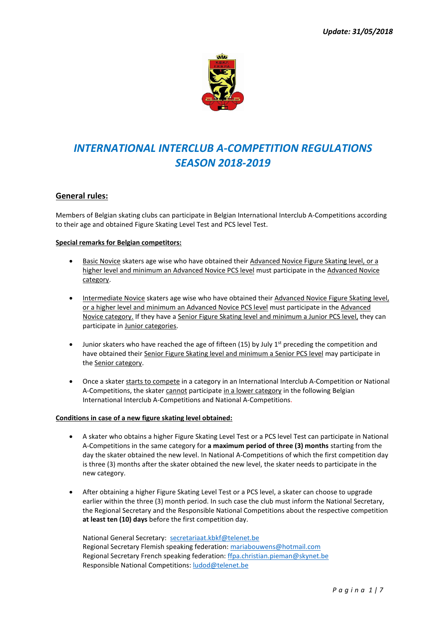

# *INTERNATIONAL INTERCLUB A-COMPETITION REGULATIONS SEASON 2018-2019*

### **General rules:**

Members of Belgian skating clubs can participate in Belgian International Interclub A-Competitions according to their age and obtained Figure Skating Level Test and PCS level Test.

#### **Special remarks for Belgian competitors:**

- Basic Novice skaters age wise who have obtained their Advanced Novice Figure Skating level, or a higher level and minimum an Advanced Novice PCS level must participate in the Advanced Novice category.
- Intermediate Novice skaters age wise who have obtained their Advanced Novice Figure Skating level, or a higher level and minimum an Advanced Novice PCS level must participate in the Advanced Novice category. If they have a Senior Figure Skating level and minimum a Junior PCS level, they can participate in Junior categories.
- Junior skaters who have reached the age of fifteen (15) by July  $1<sup>st</sup>$  preceding the competition and have obtained their Senior Figure Skating level and minimum a Senior PCS level may participate in the Senior category.
- Once a skater starts to compete in a category in an International Interclub A-Competition or National A-Competitions, the skater cannot participate in a lower category in the following Belgian International Interclub A-Competitions and National A-Competitions.

### **Conditions in case of a new figure skating level obtained:**

- A skater who obtains a higher Figure Skating Level Test or a PCS level Test can participate in National A-Competitions in the same category for **a maximum period of three (3) months** starting from the day the skater obtained the new level. In National A-Competitions of which the first competition day is three (3) months after the skater obtained the new level, the skater needs to participate in the new category.
- After obtaining a higher Figure Skating Level Test or a PCS level, a skater can choose to upgrade earlier within the three (3) month period. In such case the club must inform the National Secretary, the Regional Secretary and the Responsible National Competitions about the respective competition **at least ten (10) days** before the first competition day.

National General Secretary: [secretariaat.kbkf@telenet.be](mailto:secretariaat.kbkf@telenet.be) Regional Secretary Flemish speaking federation[: mariabouwens@hotmail.com](mailto:mariabouwens@hotmail.com) Regional Secretary French speaking federation: [ffpa.christian.pieman@skynet.be](mailto:ffpa.christian.pieman@skynet.be) Responsible National Competitions[: ludod@telenet.be](mailto:ludod@telenet.be)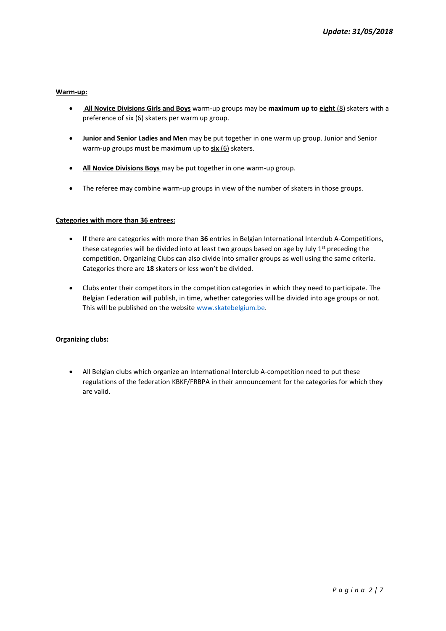### **Warm-up:**

- **All Novice Divisions Girls and Boys** warm-up groups may be **maximum up to eight** (8) skaters with a preference of six (6) skaters per warm up group.
- **Junior and Senior Ladies and Men** may be put together in one warm up group. Junior and Senior warm-up groups must be maximum up to **six** (6) skaters.
- **All Novice Divisions Boys** may be put together in one warm-up group.
- The referee may combine warm-up groups in view of the number of skaters in those groups.

#### **Categories with more than 36 entrees:**

- If there are categories with more than **36** entries in Belgian International Interclub A-Competitions, these categories will be divided into at least two groups based on age by July  $1^{st}$  preceding the competition. Organizing Clubs can also divide into smaller groups as well using the same criteria. Categories there are **18** skaters or less won't be divided.
- Clubs enter their competitors in the competition categories in which they need to participate. The Belgian Federation will publish, in time, whether categories will be divided into age groups or not. This will be published on the websit[e www.skatebelgium.be.](http://www.skatebelgium.be/)

### **Organizing clubs:**

• All Belgian clubs which organize an International Interclub A-competition need to put these regulations of the federation KBKF/FRBPA in their announcement for the categories for which they are valid.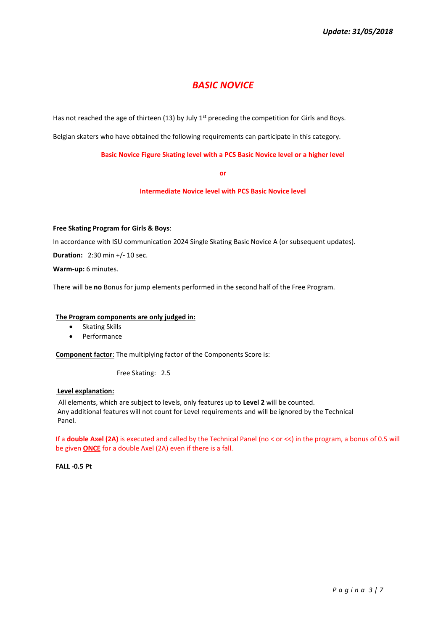## *BASIC NOVICE*

Has not reached the age of thirteen (13) by July 1<sup>st</sup> preceding the competition for Girls and Boys.

Belgian skaters who have obtained the following requirements can participate in this category.

**Basic Novice Figure Skating level with a PCS Basic Novice level or a higher level**

**or**

**Intermediate Novice level with PCS Basic Novice level**

#### **Free Skating Program for Girls & Boys**:

In accordance with ISU communication 2024 Single Skating Basic Novice A (or subsequent updates).

**Duration:** 2:30 min +/- 10 sec.

**Warm-up:** 6 minutes.

There will be **no** Bonus for jump elements performed in the second half of the Free Program.

#### **The Program components are only judged in:**

- Skating Skills
- **Performance**

**Component factor**: The multiplying factor of the Components Score is:

Free Skating: 2.5

#### **Level explanation:**

All elements, which are subject to levels, only features up to **Level 2** will be counted. Any additional features will not count for Level requirements and will be ignored by the Technical Panel.

If a **double Axel (2A)** is executed and called by the Technical Panel (no < or <<) in the program, a bonus of 0.5 will be given **ONCE** for a double Axel (2A) even if there is a fall.

**FALL -0.5 Pt**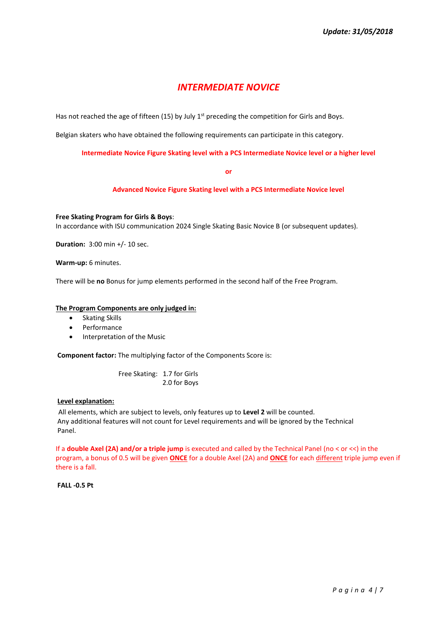## *INTERMEDIATE NOVICE*

Has not reached the age of fifteen (15) by July  $1<sup>st</sup>$  preceding the competition for Girls and Boys.

Belgian skaters who have obtained the following requirements can participate in this category.

**Intermediate Novice Figure Skating level with a PCS Intermediate Novice level or a higher level**

**or**

**Advanced Novice Figure Skating level with a PCS Intermediate Novice level**

**Free Skating Program for Girls & Boys**: In accordance with ISU communication 2024 Single Skating Basic Novice B (or subsequent updates).

**Duration:** 3:00 min +/- 10 sec.

**Warm-up:** 6 minutes.

There will be **no** Bonus for jump elements performed in the second half of the Free Program.

#### **The Program Components are only judged in:**

- Skating Skills
- Performance
- Interpretation of the Music

**Component factor:** The multiplying factor of the Components Score is:

 Free Skating: 1.7 for Girls 2.0 for Boys

#### **Level explanation:**

All elements, which are subject to levels, only features up to **Level 2** will be counted. Any additional features will not count for Level requirements and will be ignored by the Technical Panel.

If a **double Axel (2A) and/or a triple jump** is executed and called by the Technical Panel (no < or <<) in the program, a bonus of 0.5 will be given **ONCE** for a double Axel (2A) and **ONCE** for each different triple jump even if there is a fall.

**FALL -0.5 Pt**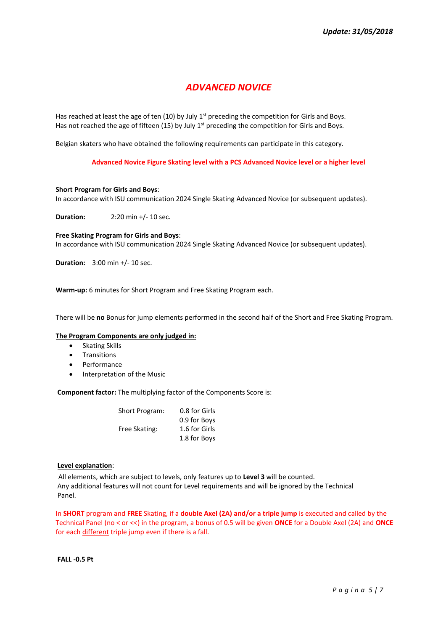## *ADVANCED NOVICE*

Has reached at least the age of ten (10) by July  $1<sup>st</sup>$  preceding the competition for Girls and Boys. Has not reached the age of fifteen (15) by July  $1<sup>st</sup>$  preceding the competition for Girls and Boys.

Belgian skaters who have obtained the following requirements can participate in this category.

**Advanced Novice Figure Skating level with a PCS Advanced Novice level or a higher level**

#### **Short Program for Girls and Boys**:

In accordance with ISU communication 2024 Single Skating Advanced Novice (or subsequent updates).

**Duration:** 2:20 min +/- 10 sec.

#### **Free Skating Program for Girls and Boys**:

In accordance with ISU communication 2024 Single Skating Advanced Novice (or subsequent updates).

**Duration:** 3:00 min +/- 10 sec.

**Warm-up:** 6 minutes for Short Program and Free Skating Program each.

There will be **no** Bonus for jump elements performed in the second half of the Short and Free Skating Program.

#### **The Program Components are only judged in:**

- Skating Skills
- **Transitions**
- Performance
- Interpretation of the Music

**Component factor:** The multiplying factor of the Components Score is:

| <b>Short Program:</b> | 0.8 for Girls |
|-----------------------|---------------|
|                       | 0.9 for Boys  |
| Free Skating:         | 1.6 for Girls |
|                       | 1.8 for Boys  |

#### **Level explanation**:

All elements, which are subject to levels, only features up to **Level 3** will be counted. Any additional features will not count for Level requirements and will be ignored by the Technical Panel.

In **SHORT** program and **FREE** Skating, if a **double Axel (2A) and/or a triple jump** is executed and called by the Technical Panel (no < or <<) in the program, a bonus of 0.5 will be given **ONCE** for a Double Axel (2A) and **ONCE** for each different triple jump even if there is a fall.

**FALL -0.5 Pt**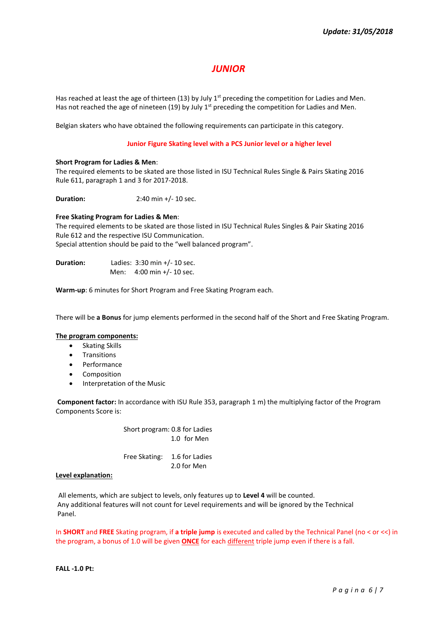## *JUNIOR*

Has reached at least the age of thirteen (13) by July  $1<sup>st</sup>$  preceding the competition for Ladies and Men. Has not reached the age of nineteen (19) by July  $1<sup>st</sup>$  preceding the competition for Ladies and Men.

Belgian skaters who have obtained the following requirements can participate in this category.

#### **Junior Figure Skating level with a PCS Junior level or a higher level**

#### **Short Program for Ladies & Men**:

The required elements to be skated are those listed in ISU Technical Rules Single & Pairs Skating 2016 Rule 611, paragraph 1 and 3 for 2017-2018.

**Duration: 2:40 min +/- 10 sec.** 

#### **Free Skating Program for Ladies & Men**:

The required elements to be skated are those listed in ISU Technical Rules Singles & Pair Skating 2016 Rule 612 and the respective ISU Communication. Special attention should be paid to the "well balanced program".

**Duration:** Ladies: 3:30 min +/- 10 sec. Men: 4:00 min +/- 10 sec.

**Warm-up**: 6 minutes for Short Program and Free Skating Program each.

There will be **a Bonus** for jump elements performed in the second half of the Short and Free Skating Program.

#### **The program components:**

- Skating Skills
- **Transitions**
- Performance
- **Composition**
- Interpretation of the Music

**Component factor:** In accordance with ISU Rule 353, paragraph 1 m) the multiplying factor of the Program Components Score is:

> Short program: 0.8 for Ladies 1.0 for Men

 Free Skating: 1.6 for Ladies 2.0 for Men

#### **Level explanation:**

All elements, which are subject to levels, only features up to **Level 4** will be counted. Any additional features will not count for Level requirements and will be ignored by the Technical Panel.

In **SHORT** and **FREE** Skating program, if **a triple jump** is executed and called by the Technical Panel (no < or <<) in the program, a bonus of 1.0 will be given **ONCE** for each different triple jump even if there is a fall.

**FALL -1.0 Pt:**